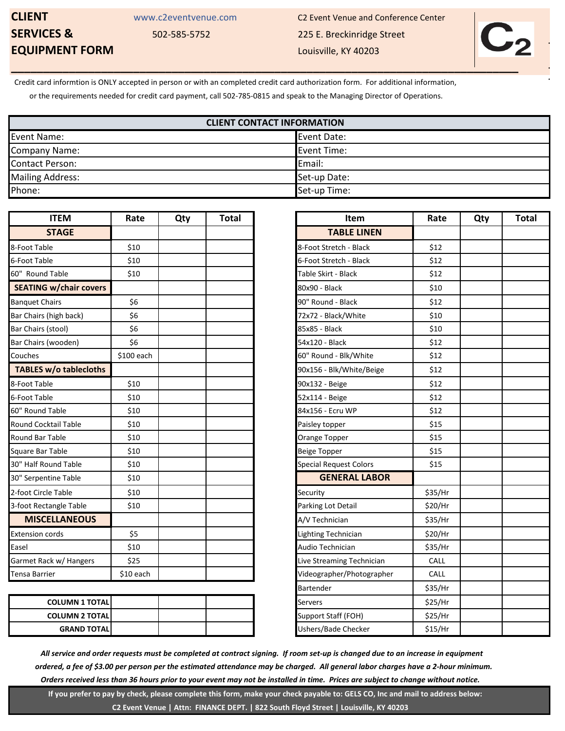## **EQUIPMENT FORM** Louisville, KY 40203

**CLIENT** WWW.c2eventvenue.com C2 Event Venue and Conference Center **SERVICES &** 502-585-5752 225 E. Breckinridge Street



Credit card informtion is ONLY accepted in person or with an completed credit card authorization form. For additional information,

or the requirements needed for credit card payment, call 502-785-0815 and speak to the Managing Director of Operations.

| <b>CLIENT CONTACT INFORMATION</b> |              |  |  |  |
|-----------------------------------|--------------|--|--|--|
| Event Name:                       | Event Date:  |  |  |  |
| <b>Company Name:</b>              | Event Time:  |  |  |  |
| <b>Contact Person:</b>            | Email:       |  |  |  |
| <b>Mailing Address:</b>           | Set-up Date: |  |  |  |
| Phone:                            | Set-up Time: |  |  |  |

| <b>ITEM</b>                   | Rate       | Qty | Total | <b>Item</b>                   |  |
|-------------------------------|------------|-----|-------|-------------------------------|--|
| <b>STAGE</b>                  |            |     |       | <b>TABLE LINEN</b>            |  |
| 8-Foot Table                  | \$10       |     |       | 8-Foot Stretch - Black        |  |
| 6-Foot Table                  | \$10       |     |       | 6-Foot Stretch - Black        |  |
| 60" Round Table               | \$10       |     |       | Table Skirt - Black           |  |
| <b>SEATING w/chair covers</b> |            |     |       | 80x90 - Black                 |  |
| <b>Banquet Chairs</b>         | \$6        |     |       | 90" Round - Black             |  |
| Bar Chairs (high back)        | \$6        |     |       | 72x72 - Black/White           |  |
| Bar Chairs (stool)            | \$6        |     |       | 85x85 - Black                 |  |
| Bar Chairs (wooden)           | \$6        |     |       | 54x120 - Black                |  |
| Couches                       | \$100 each |     |       | 60" Round - Blk/White         |  |
| TABLES w/o tablecloths        |            |     |       | 90x156 - Blk/White/Beige      |  |
| 8-Foot Table                  | \$10       |     |       | 90x132 - Beige                |  |
| 6-Foot Table                  | \$10       |     |       | 52x114 - Beige                |  |
| 60" Round Table               | \$10       |     |       | 84x156 - Ecru WP              |  |
| <b>Round Cocktail Table</b>   | \$10       |     |       | Paisley topper                |  |
| <b>Round Bar Table</b>        | \$10       |     |       | Orange Topper                 |  |
| Square Bar Table              | \$10       |     |       | <b>Beige Topper</b>           |  |
| 30" Half Round Table          | \$10       |     |       | <b>Special Request Colors</b> |  |
| 30" Serpentine Table          | \$10       |     |       | <b>GENERAL LABOR</b>          |  |
| 2-foot Circle Table           | \$10       |     |       | Security                      |  |
| 3-foot Rectangle Table        | \$10       |     |       | Parking Lot Detail            |  |
| <b>MISCELLANEOUS</b>          |            |     |       | A/V Technician                |  |
| <b>Extension cords</b>        | \$5        |     |       | Lighting Technician           |  |
| Easel                         | \$10       |     |       | Audio Technician              |  |
| Garmet Rack w/ Hangers        | \$25       |     |       | Live Streaming Technician     |  |
| <b>Tensa Barrier</b>          | \$10 each  |     |       | Videographer/Photographer     |  |

| <b>COLUMN 1 TOTALI</b> |  |  | <b>Servers</b>      | \$25/Hr |
|------------------------|--|--|---------------------|---------|
| <b>COLUMN 2 TOTAL</b>  |  |  | Support Staff (FOH) | \$25/Hr |
| <b>GRAND TOTALI</b>    |  |  | Ushers/Bade Checker | \$15/Hr |

| <b>ITEM</b>           | Rate       | Qty | <b>Total</b> |
|-----------------------|------------|-----|--------------|
| <b>TAGE</b>           |            |     |              |
| $\overline{e}$        | \$10       |     |              |
| e                     | \$10       |     |              |
| Table                 | \$10       |     |              |
| w/chair covers        |            |     |              |
| airs                  | \$6        |     |              |
| high back)            | \$6        |     |              |
| stool)                | \$6        |     |              |
| wooden)               | \$6        |     |              |
|                       | \$100 each |     |              |
| v/o tablecloths       |            |     |              |
| $\overline{e}$        | \$10       |     |              |
| e                     | \$10       |     |              |
| Table                 | \$10       |     |              |
| tail Table            | \$10       |     |              |
| Table                 | \$10       |     |              |
| Table                 | \$10       |     |              |
| und Table             | \$10       |     |              |
| ine Table             | \$10       |     |              |
| e Table               | \$10       |     |              |
| angle Table           | \$10       |     |              |
| <b>LLANEOUS</b>       |            |     |              |
| ords                  | \$5        |     |              |
|                       | \$10       |     |              |
| k w/ Hangers          | \$25       |     |              |
| er                    | \$10 each  |     |              |
|                       |            |     |              |
| <b>COLUMN 1 TOTAL</b> |            |     |              |
| <b>COLUMN 2 TOTAL</b> |            |     |              |
| <b>GRAND TOTAL</b>    |            |     |              |

 *All service and order requests must be completed at contract signing. If room set-up is changed due to an increase in equipment ordered, a fee of \$3.00 per person per the estimated attendance may be charged. All general labor charges have a 2-hour minimum. Orders received less than 36 hours prior to your event may not be installed in time. Prices are subject to change without notice.*

 **If you prefer to pay by check, please complete this form, make your check payable to: GELS CO, Inc and mail to address below: C2 Event Venue | Attn: FINANCE DEPT. | 822 South Floyd Street | Louisville, KY 40203**